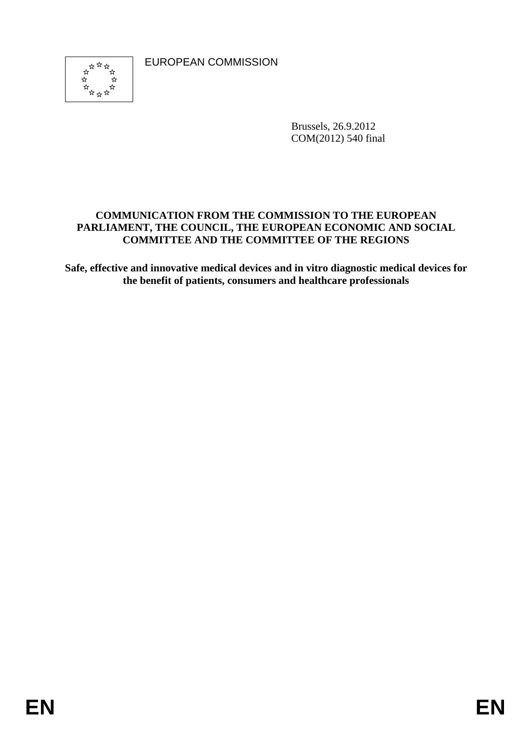EUROPEAN COMMISSION



Brussels, 26.9.2012 COM(2012) 540 final

### **COMMUNICATION FROM THE COMMISSION TO THE EUROPEAN PARLIAMENT, THE COUNCIL, THE EUROPEAN ECONOMIC AND SOCIAL COMMITTEE AND THE COMMITTEE OF THE REGIONS**

**Safe, effective and innovative medical devices and in vitro diagnostic medical devices for the benefit of patients, consumers and healthcare professionals**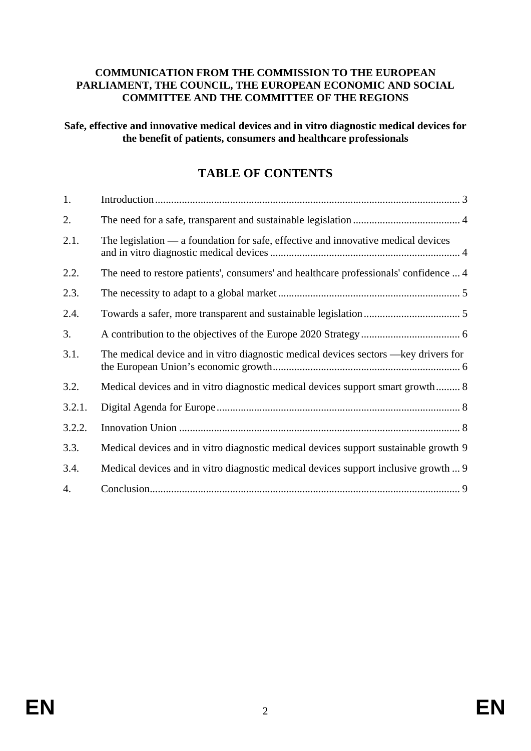#### **COMMUNICATION FROM THE COMMISSION TO THE EUROPEAN PARLIAMENT, THE COUNCIL, THE EUROPEAN ECONOMIC AND SOCIAL COMMITTEE AND THE COMMITTEE OF THE REGIONS**

#### **Safe, effective and innovative medical devices and in vitro diagnostic medical devices for the benefit of patients, consumers and healthcare professionals**

# **TABLE OF CONTENTS**

| 1.     |                                                                                       |
|--------|---------------------------------------------------------------------------------------|
| 2.     |                                                                                       |
| 2.1.   | The legislation $\_\$ a foundation for safe, effective and innovative medical devices |
| 2.2.   | The need to restore patients', consumers' and healthcare professionals' confidence  4 |
| 2.3.   |                                                                                       |
| 2.4.   |                                                                                       |
| 3.     |                                                                                       |
| 3.1.   | The medical device and in vitro diagnostic medical devices sectors —key drivers for   |
| 3.2.   | Medical devices and in vitro diagnostic medical devices support smart growth 8        |
| 3.2.1. |                                                                                       |
| 3.2.2. |                                                                                       |
| 3.3.   | Medical devices and in vitro diagnostic medical devices support sustainable growth 9  |
| 3.4.   | Medical devices and in vitro diagnostic medical devices support inclusive growth  9   |
| 4.     |                                                                                       |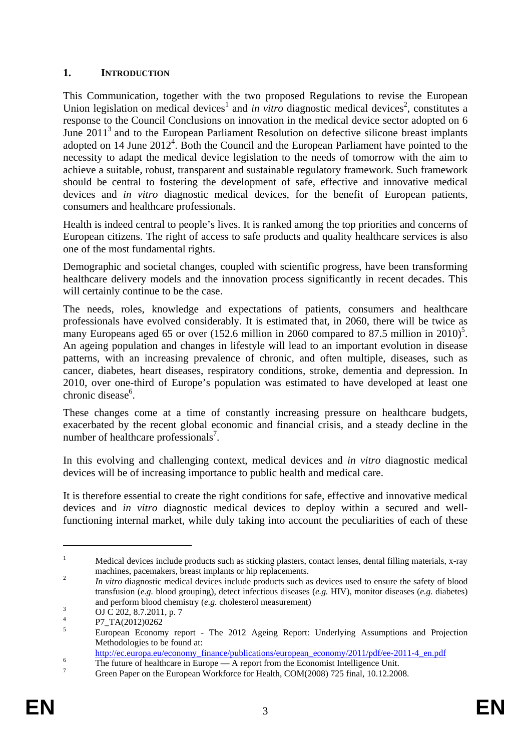### <span id="page-2-0"></span>**1. INTRODUCTION**

This Communication, together with the two proposed Regulations to revise the European Union legislation on medical devices<sup>1</sup> and *in vitro* diagnostic medical devices<sup>2</sup>, constitutes a response to the Council Conclusions on innovation in the medical device sector adopted on 6 June  $2011<sup>3</sup>$  and to the European Parliament Resolution on defective silicone breast implants adopted on 14 June  $2012^4$ . Both the Council and the European Parliament have pointed to the necessity to adapt the medical device legislation to the needs of tomorrow with the aim to achieve a suitable, robust, transparent and sustainable regulatory framework. Such framework should be central to fostering the development of safe, effective and innovative medical devices and *in vitro* diagnostic medical devices, for the benefit of European patients, consumers and healthcare professionals.

Health is indeed central to people's lives. It is ranked among the top priorities and concerns of European citizens. The right of access to safe products and quality healthcare services is also one of the most fundamental rights.

Demographic and societal changes, coupled with scientific progress, have been transforming healthcare delivery models and the innovation process significantly in recent decades. This will certainly continue to be the case.

The needs, roles, knowledge and expectations of patients, consumers and healthcare professionals have evolved considerably. It is estimated that, in 2060, there will be twice as many Europeans aged 65 or over  $(152.6 \text{ million in } 2060 \text{ compared to } 87.5 \text{ million in } 2010)^5$ . An ageing population and changes in lifestyle will lead to an important evolution in disease patterns, with an increasing prevalence of chronic, and often multiple, diseases, such as cancer, diabetes, heart diseases, respiratory conditions, stroke, dementia and depression. In 2010, over one-third of Europe's population was estimated to have developed at least one chronic disease<sup>6</sup>.

These changes come at a time of constantly increasing pressure on healthcare budgets, exacerbated by the recent global economic and financial crisis, and a steady decline in the number of healthcare professionals<sup>7</sup>.

In this evolving and challenging context, medical devices and *in vitro* diagnostic medical devices will be of increasing importance to public health and medical care.

It is therefore essential to create the right conditions for safe, effective and innovative medical devices and *in vitro* diagnostic medical devices to deploy within a secured and wellfunctioning internal market, while duly taking into account the peculiarities of each of these

<sup>1</sup> Medical devices include products such as sticking plasters, contact lenses, dental filling materials, x-ray machines, pacemakers, breast implants or hip replacements.<br><sup>2</sup> *In vitro* diagnostic medical devices include products such as devices used to ensure the safety of blood

transfusion (*e.g.* blood grouping), detect infectious diseases (*e.g.* HIV), monitor diseases (*e.g.* diabetes) and perform blood chemistry (*e.g.* cholesterol measurement)

OJ C 202, 8.7.2011, p. 7 4

P7\_TA(2012)0262

<sup>5</sup> European Economy report - The 2012 Ageing Report: Underlying Assumptions and Projection Methodologies to be found at:

http://ec.europa.eu/economy\_finance/publications/european\_economy/2011/pdf/ee-2011-4\_en.pdf

The future of healthcare in Europe — A report from the Economist Intelligence Unit.

Green Paper on the European Workforce for Health, COM(2008) 725 final, 10.12.2008.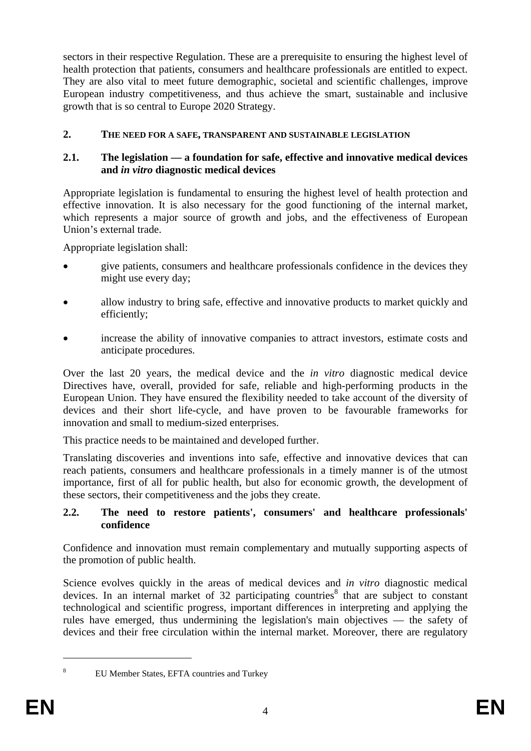sectors in their respective Regulation. These are a prerequisite to ensuring the highest level of health protection that patients, consumers and healthcare professionals are entitled to expect. They are also vital to meet future demographic, societal and scientific challenges, improve European industry competitiveness, and thus achieve the smart, sustainable and inclusive growth that is so central to Europe 2020 Strategy.

### <span id="page-3-1"></span><span id="page-3-0"></span>**2. THE NEED FOR A SAFE, TRANSPARENT AND SUSTAINABLE LEGISLATION**

#### **2.1. The legislation — a foundation for safe, effective and innovative medical devices and** *in vitro* **diagnostic medical devices**

Appropriate legislation is fundamental to ensuring the highest level of health protection and effective innovation. It is also necessary for the good functioning of the internal market, which represents a major source of growth and jobs, and the effectiveness of European Union's external trade.

Appropriate legislation shall:

- give patients, consumers and healthcare professionals confidence in the devices they might use every day;
- allow industry to bring safe, effective and innovative products to market quickly and efficiently;
- increase the ability of innovative companies to attract investors, estimate costs and anticipate procedures.

Over the last 20 years, the medical device and the *in vitro* diagnostic medical device Directives have, overall, provided for safe, reliable and high-performing products in the European Union. They have ensured the flexibility needed to take account of the diversity of devices and their short life-cycle, and have proven to be favourable frameworks for innovation and small to medium-sized enterprises.

This practice needs to be maintained and developed further.

Translating discoveries and inventions into safe, effective and innovative devices that can reach patients, consumers and healthcare professionals in a timely manner is of the utmost importance, first of all for public health, but also for economic growth, the development of these sectors, their competitiveness and the jobs they create.

#### <span id="page-3-2"></span>**2.2. The need to restore patients', consumers' and healthcare professionals' confidence**

Confidence and innovation must remain complementary and mutually supporting aspects of the promotion of public health.

Science evolves quickly in the areas of medical devices and *in vitro* diagnostic medical devices. In an internal market of 32 participating countries<sup>8</sup> that are subject to constant technological and scientific progress, important differences in interpreting and applying the rules have emerged, thus undermining the legislation's main objectives — the safety of devices and their free circulation within the internal market. Moreover, there are regulatory

<sup>8</sup>

EU Member States, EFTA countries and Turkey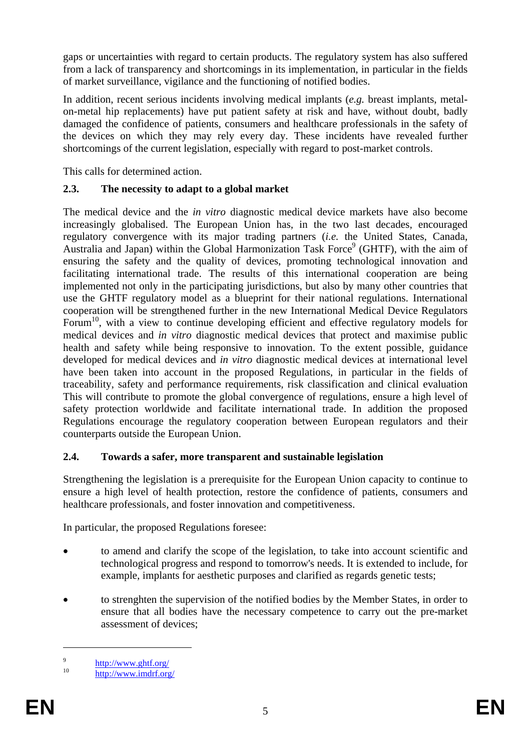gaps or uncertainties with regard to certain products. The regulatory system has also suffered from a lack of transparency and shortcomings in its implementation, in particular in the fields of market surveillance, vigilance and the functioning of notified bodies.

In addition, recent serious incidents involving medical implants (*e.g.* breast implants, metalon-metal hip replacements) have put patient safety at risk and have, without doubt, badly damaged the confidence of patients, consumers and healthcare professionals in the safety of the devices on which they may rely every day. These incidents have revealed further shortcomings of the current legislation, especially with regard to post-market controls.

<span id="page-4-0"></span>This calls for determined action.

### **2.3. The necessity to adapt to a global market**

The medical device and the *in vitro* diagnostic medical device markets have also become increasingly globalised. The European Union has, in the two last decades, encouraged regulatory convergence with its major trading partners (*i.e.* the United States, Canada, Australia and Japan) within the Global Harmonization Task Force<sup>9</sup> (GHTF), with the aim of ensuring the safety and the quality of devices, promoting technological innovation and facilitating international trade. The results of this international cooperation are being implemented not only in the participating jurisdictions, but also by many other countries that use the GHTF regulatory model as a blueprint for their national regulations. International cooperation will be strengthened further in the new International Medical Device Regulators Forum<sup>10</sup>, with a view to continue developing efficient and effective regulatory models for medical devices and *in vitro* diagnostic medical devices that protect and maximise public health and safety while being responsive to innovation. To the extent possible, guidance developed for medical devices and *in vitro* diagnostic medical devices at international level have been taken into account in the proposed Regulations, in particular in the fields of traceability, safety and performance requirements, risk classification and clinical evaluation This will contribute to promote the global convergence of regulations, ensure a high level of safety protection worldwide and facilitate international trade. In addition the proposed Regulations encourage the regulatory cooperation between European regulators and their counterparts outside the European Union.

### <span id="page-4-1"></span>**2.4. Towards a safer, more transparent and sustainable legislation**

Strengthening the legislation is a prerequisite for the European Union capacity to continue to ensure a high level of health protection, restore the confidence of patients, consumers and healthcare professionals, and foster innovation and competitiveness.

In particular, the proposed Regulations foresee:

- to amend and clarify the scope of the legislation, to take into account scientific and technological progress and respond to tomorrow's needs. It is extended to include, for example, implants for aesthetic purposes and clarified as regards genetic tests;
- to strenghten the supervision of the notified bodies by the Member States, in order to ensure that all bodies have the necessary competence to carry out the pre-market assessment of devices;

<u>.</u>

<sup>9</sup> <http://www.ghtf.org/><br>10 <http://www.imdrf.org/>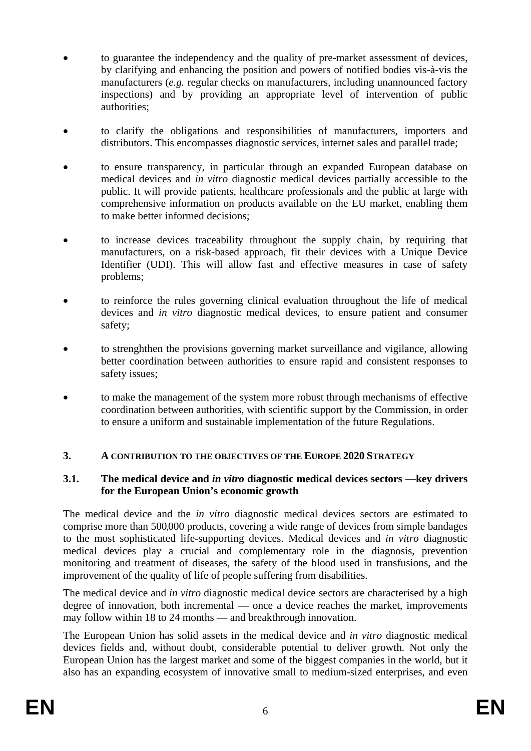- to guarantee the independency and the quality of pre-market assessment of devices, by clarifying and enhancing the position and powers of notified bodies vis-à-vis the manufacturers (*e.g.* regular checks on manufacturers, including unannounced factory inspections) and by providing an appropriate level of intervention of public authorities;
- to clarify the obligations and responsibilities of manufacturers, importers and distributors. This encompasses diagnostic services, internet sales and parallel trade;
- to ensure transparency, in particular through an expanded European database on medical devices and *in vitro* diagnostic medical devices partially accessible to the public. It will provide patients, healthcare professionals and the public at large with comprehensive information on products available on the EU market, enabling them to make better informed decisions;
- to increase devices traceability throughout the supply chain, by requiring that manufacturers, on a risk-based approach, fit their devices with a Unique Device Identifier (UDI). This will allow fast and effective measures in case of safety problems;
- to reinforce the rules governing clinical evaluation throughout the life of medical devices and *in vitro* diagnostic medical devices, to ensure patient and consumer safety;
- to strenghthen the provisions governing market surveillance and vigilance, allowing better coordination between authorities to ensure rapid and consistent responses to safety issues;
- to make the management of the system more robust through mechanisms of effective coordination between authorities, with scientific support by the Commission, in order to ensure a uniform and sustainable implementation of the future Regulations.

### <span id="page-5-0"></span>**3. A CONTRIBUTION TO THE OBJECTIVES OF THE EUROPE 2020 STRATEGY**

#### <span id="page-5-1"></span>**3.1. The medical device and** *in vitro* **diagnostic medical devices sectors —key drivers for the European Union's economic growth**

The medical device and the *in vitro* diagnostic medical devices sectors are estimated to comprise more than 500,000 products, covering a wide range of devices from simple bandages to the most sophisticated life-supporting devices. Medical devices and *in vitro* diagnostic medical devices play a crucial and complementary role in the diagnosis, prevention monitoring and treatment of diseases, the safety of the blood used in transfusions, and the improvement of the quality of life of people suffering from disabilities.

The medical device and *in vitro* diagnostic medical device sectors are characterised by a high degree of innovation, both incremental — once a device reaches the market, improvements may follow within 18 to 24 months — and breakthrough innovation.

The European Union has solid assets in the medical device and *in vitro* diagnostic medical devices fields and, without doubt, considerable potential to deliver growth. Not only the European Union has the largest market and some of the biggest companies in the world, but it also has an expanding ecosystem of innovative small to medium-sized enterprises, and even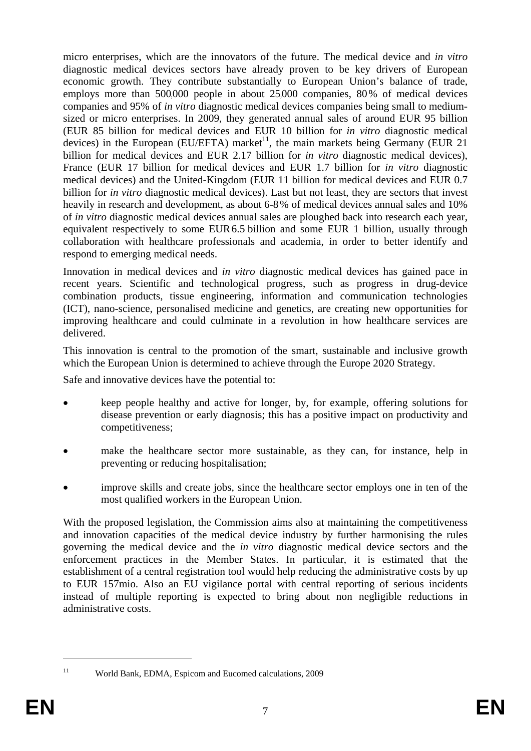micro enterprises, which are the innovators of the future. The medical device and *in vitro* diagnostic medical devices sectors have already proven to be key drivers of European economic growth. They contribute substantially to European Union's balance of trade, employs more than 500,000 people in about 25,000 companies, 80% of medical devices companies and 95% of *in vitro* diagnostic medical devices companies being small to mediumsized or micro enterprises. In 2009, they generated annual sales of around EUR 95 billion (EUR 85 billion for medical devices and EUR 10 billion for *in vitro* diagnostic medical devices) in the European (EU/EFTA) market<sup>11</sup>, the main markets being Germany (EUR 21 billion for medical devices and EUR 2.17 billion for *in vitro* diagnostic medical devices), France (EUR 17 billion for medical devices and EUR 1.7 billion for *in vitro* diagnostic medical devices) and the United-Kingdom (EUR 11 billion for medical devices and EUR 0.7 billion for *in vitro* diagnostic medical devices). Last but not least, they are sectors that invest heavily in research and development, as about 6-8% of medical devices annual sales and 10% of *in vitro* diagnostic medical devices annual sales are ploughed back into research each year, equivalent respectively to some EUR6.5 billion and some EUR 1 billion, usually through collaboration with healthcare professionals and academia, in order to better identify and respond to emerging medical needs.

Innovation in medical devices and *in vitro* diagnostic medical devices has gained pace in recent years. Scientific and technological progress, such as progress in drug-device combination products, tissue engineering, information and communication technologies (ICT), nano-science, personalised medicine and genetics, are creating new opportunities for improving healthcare and could culminate in a revolution in how healthcare services are delivered.

This innovation is central to the promotion of the smart, sustainable and inclusive growth which the European Union is determined to achieve through the Europe 2020 Strategy.

Safe and innovative devices have the potential to:

- keep people healthy and active for longer, by, for example, offering solutions for disease prevention or early diagnosis; this has a positive impact on productivity and competitiveness;
- make the healthcare sector more sustainable, as they can, for instance, help in preventing or reducing hospitalisation;
- improve skills and create jobs, since the healthcare sector employs one in ten of the most qualified workers in the European Union.

With the proposed legislation, the Commission aims also at maintaining the competitiveness and innovation capacities of the medical device industry by further harmonising the rules governing the medical device and the *in vitro* diagnostic medical device sectors and the enforcement practices in the Member States. In particular, it is estimated that the establishment of a central registration tool would help reducing the administrative costs by up to EUR 157mio. Also an EU vigilance portal with central reporting of serious incidents instead of multiple reporting is expected to bring about non negligible reductions in administrative costs.

<sup>11</sup> World Bank, EDMA, Espicom and Eucomed calculations, 2009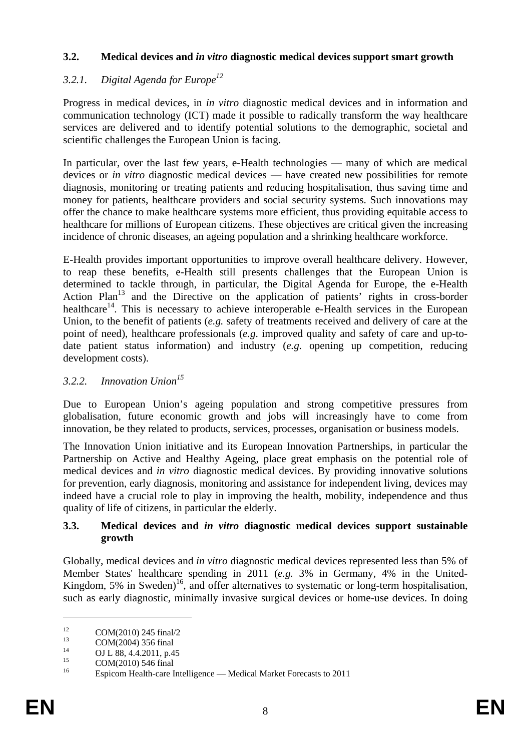#### <span id="page-7-0"></span>**3.2. Medical devices and** *in vitro* **diagnostic medical devices support smart growth**

# <span id="page-7-1"></span>*3.2.1. Digital Agenda for Europe12*

Progress in medical devices, in *in vitro* diagnostic medical devices and in information and communication technology (ICT) made it possible to radically transform the way healthcare services are delivered and to identify potential solutions to the demographic, societal and scientific challenges the European Union is facing.

In particular, over the last few years, e-Health technologies — many of which are medical devices or *in vitro* diagnostic medical devices — have created new possibilities for remote diagnosis, monitoring or treating patients and reducing hospitalisation, thus saving time and money for patients, healthcare providers and social security systems. Such innovations may offer the chance to make healthcare systems more efficient, thus providing equitable access to healthcare for millions of European citizens. These objectives are critical given the increasing incidence of chronic diseases, an ageing population and a shrinking healthcare workforce.

E-Health provides important opportunities to improve overall healthcare delivery. However, to reap these benefits, e-Health still presents challenges that the European Union is determined to tackle through, in particular, the Digital Agenda for Europe, the e-Health Action Plan<sup>13</sup> and the Directive on the application of patients' rights in cross-border healthcare<sup>14</sup>. This is necessary to achieve interoperable e-Health services in the European Union, to the benefit of patients (*e.g.* safety of treatments received and delivery of care at the point of need), healthcare professionals (*e.g*. improved quality and safety of care and up-todate patient status information) and industry (*e.g.* opening up competition, reducing development costs).

#### <span id="page-7-2"></span>*3.2.2. Innovation Union15*

Due to European Union's ageing population and strong competitive pressures from globalisation, future economic growth and jobs will increasingly have to come from innovation, be they related to products, services, processes, organisation or business models.

The Innovation Union initiative and its European Innovation Partnerships, in particular the Partnership on Active and Healthy Ageing, place great emphasis on the potential role of medical devices and *in vitro* diagnostic medical devices. By providing innovative solutions for prevention, early diagnosis, monitoring and assistance for independent living, devices may indeed have a crucial role to play in improving the health, mobility, independence and thus quality of life of citizens, in particular the elderly.

#### <span id="page-7-3"></span>**3.3. Medical devices and** *in vitro* **diagnostic medical devices support sustainable growth**

Globally, medical devices and *in vitro* diagnostic medical devices represented less than 5% of Member States' healthcare spending in 2011 (*e.g.* 3% in Germany, 4% in the United-Kingdom, 5% in Sweden)<sup>16</sup>, and offer alternatives to systematic or long-term hospitalisation, such as early diagnostic, minimally invasive surgical devices or home-use devices. In doing

<u>.</u>

<sup>&</sup>lt;sup>12</sup> COM(2010) 245 final/2

 $13$  COM(2004) 356 final

<sup>&</sup>lt;sup>14</sup> OJ L 88, 4.4.2011, p.45

 $^{15}$  COM(2010) 546 final

<sup>16</sup> Espicom Health-care Intelligence — Medical Market Forecasts to 2011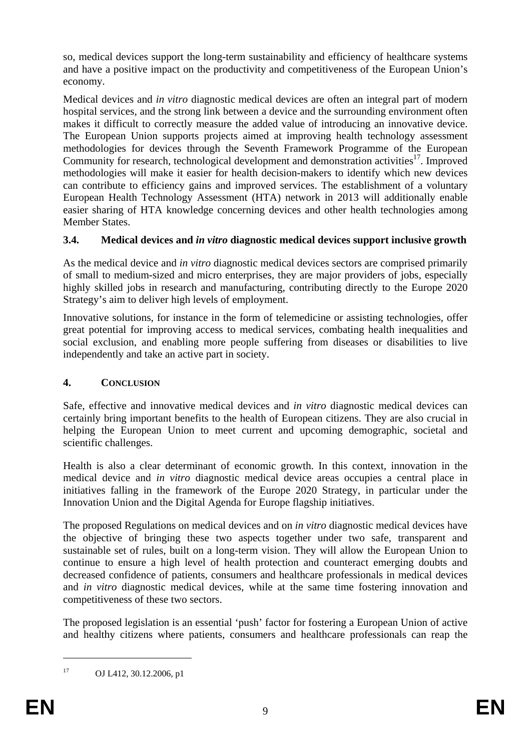so, medical devices support the long-term sustainability and efficiency of healthcare systems and have a positive impact on the productivity and competitiveness of the European Union's economy.

Medical devices and *in vitro* diagnostic medical devices are often an integral part of modern hospital services, and the strong link between a device and the surrounding environment often makes it difficult to correctly measure the added value of introducing an innovative device. The European Union supports projects aimed at improving health technology assessment methodologies for devices through the Seventh Framework Programme of the European Community for research, technological development and demonstration activities<sup>17</sup>. Improved methodologies will make it easier for health decision-makers to identify which new devices can contribute to efficiency gains and improved services. The establishment of a voluntary European Health Technology Assessment (HTA) network in 2013 will additionally enable easier sharing of HTA knowledge concerning devices and other health technologies among Member States.

# <span id="page-8-0"></span>**3.4. Medical devices and** *in vitro* **diagnostic medical devices support inclusive growth**

As the medical device and *in vitro* diagnostic medical devices sectors are comprised primarily of small to medium-sized and micro enterprises, they are major providers of jobs, especially highly skilled jobs in research and manufacturing, contributing directly to the Europe 2020 Strategy's aim to deliver high levels of employment.

Innovative solutions, for instance in the form of telemedicine or assisting technologies, offer great potential for improving access to medical services, combating health inequalities and social exclusion, and enabling more people suffering from diseases or disabilities to live independently and take an active part in society.

# <span id="page-8-1"></span>**4. CONCLUSION**

Safe, effective and innovative medical devices and *in vitro* diagnostic medical devices can certainly bring important benefits to the health of European citizens. They are also crucial in helping the European Union to meet current and upcoming demographic, societal and scientific challenges.

Health is also a clear determinant of economic growth. In this context, innovation in the medical device and *in vitro* diagnostic medical device areas occupies a central place in initiatives falling in the framework of the Europe 2020 Strategy, in particular under the Innovation Union and the Digital Agenda for Europe flagship initiatives.

The proposed Regulations on medical devices and on *in vitro* diagnostic medical devices have the objective of bringing these two aspects together under two safe, transparent and sustainable set of rules, built on a long-term vision. They will allow the European Union to continue to ensure a high level of health protection and counteract emerging doubts and decreased confidence of patients, consumers and healthcare professionals in medical devices and *in vitro* diagnostic medical devices, while at the same time fostering innovation and competitiveness of these two sectors.

The proposed legislation is an essential 'push' factor for fostering a European Union of active and healthy citizens where patients, consumers and healthcare professionals can reap the

<sup>17</sup> OJ L412, 30.12.2006, p1